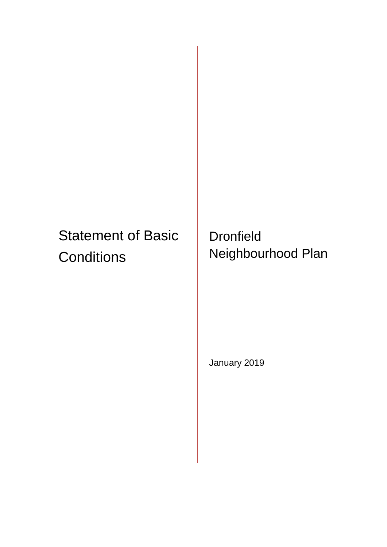# Statement of Basic **Conditions**

**Dronfield** Neighbourhood Plan

January 2019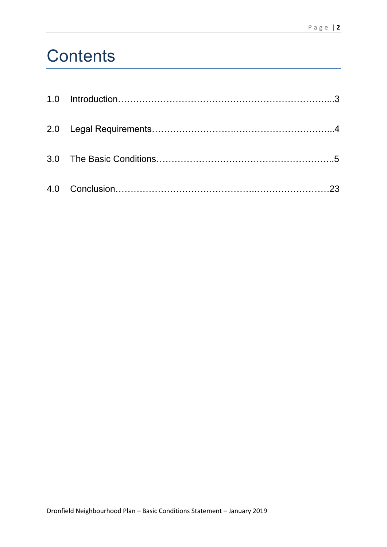# **Contents**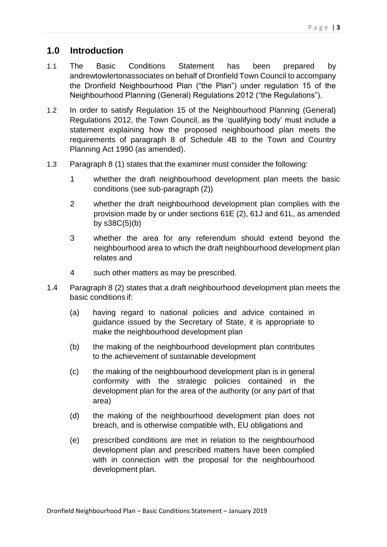# **1.0 Introduction**

- 1.1 The Basic Conditions Statement has been prepared by andrewtowlertonassociates on behalf of Dronfield Town Council to accompany the Dronfield Neighbourhood Plan ("the Plan") under regulation 15 of the Neighbourhood Planning (General) Regulations 2012 ("the Regulations").
- 1.2 In order to satisfy Regulation 15 of the Neighbourhood Planning (General) Regulations 2012, the Town Council, as the 'qualifying body' must include a statement explaining how the proposed neighbourhood plan meets the requirements of paragraph 8 of Schedule 4B to the Town and Country Planning Act 1990 (as amended).
- 1.3 Paragraph 8 (1) states that the examiner must consider the following:
	- 1 whether the draft neighbourhood development plan meets the basic conditions (see sub-paragraph (2))
	- 2 whether the draft neighbourhood development plan complies with the provision made by or under sections 61E (2), 61J and 61L, as amended by  $s38C(5)(b)$
	- 3 whether the area for any referendum should extend beyond the neighbourhood area to which the draft neighbourhood development plan relates and
	- 4 such other matters as may be prescribed.
- 1.4 Paragraph 8 (2) states that a draft neighbourhood development plan meets the basic conditions if:
	- (a) having regard to national policies and advice contained in guidance issued by the Secretary of State, it is appropriate to make the neighbourhood development plan
	- (b) the making of the neighbourhood development plan contributes to the achievement of sustainable development
	- (c) the making of the neighbourhood development plan is in general conformity with the strategic policies contained in the development plan for the area of the authority (or any part of that area)
	- (d) the making of the neighbourhood development plan does not breach, and is otherwise compatible with, EU obligations and
	- (e) prescribed conditions are met in relation to the neighbourhood development plan and prescribed matters have been complied with in connection with the proposal for the neighbourhood development plan.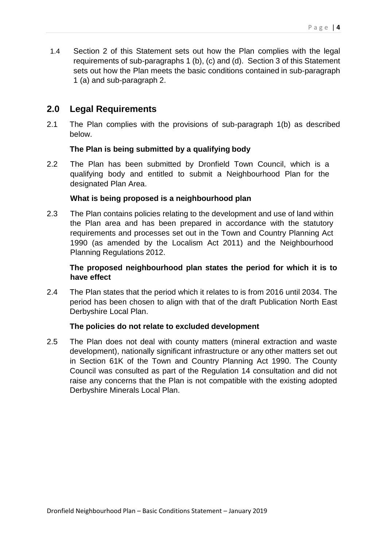1.4 Section 2 of this Statement sets out how the Plan complies with the legal requirements of sub-paragraphs 1 (b), (c) and (d). Section 3 of this Statement sets out how the Plan meets the basic conditions contained in sub-paragraph 1 (a) and sub-paragraph 2.

# **2.0 Legal Requirements**

2.1 The Plan complies with the provisions of sub-paragraph 1(b) as described below.

# **The Plan is being submitted by a qualifying body**

2.2 The Plan has been submitted by Dronfield Town Council, which is a qualifying body and entitled to submit a Neighbourhood Plan for the designated Plan Area.

### **What is being proposed is a neighbourhood plan**

2.3 The Plan contains policies relating to the development and use of land within the Plan area and has been prepared in accordance with the statutory requirements and processes set out in the Town and Country Planning Act 1990 (as amended by the Localism Act 2011) and the Neighbourhood Planning Regulations 2012.

# **The proposed neighbourhood plan states the period for which it is to have effect**

2.4 The Plan states that the period which it relates to is from 2016 until 2034. The period has been chosen to align with that of the draft Publication North East Derbyshire Local Plan.

#### **The policies do not relate to excluded development**

2.5 The Plan does not deal with county matters (mineral extraction and waste development), nationally significant infrastructure or any other matters set out in Section 61K of the Town and Country Planning Act 1990. The County Council was consulted as part of the Regulation 14 consultation and did not raise any concerns that the Plan is not compatible with the existing adopted Derbyshire Minerals Local Plan.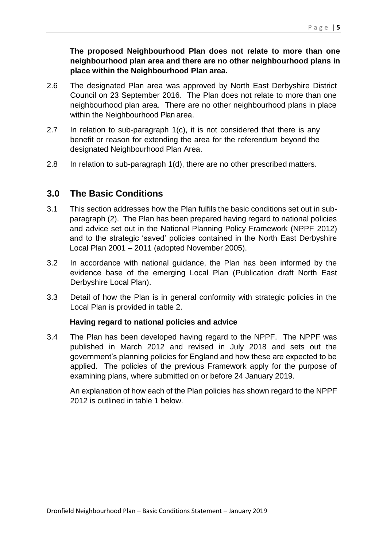## **The proposed Neighbourhood Plan does not relate to more than one neighbourhood plan area and there are no other neighbourhood plans in place within the Neighbourhood Plan area.**

- 2.6 The designated Plan area was approved by North East Derbyshire District Council on 23 September 2016. The Plan does not relate to more than one neighbourhood plan area. There are no other neighbourhood plans in place within the Neighbourhood Plan area.
- 2.7 In relation to sub-paragraph 1(c), it is not considered that there is any benefit or reason for extending the area for the referendum beyond the designated Neighbourhood Plan Area.
- 2.8 In relation to sub-paragraph 1(d), there are no other prescribed matters.

# **3.0 The Basic Conditions**

- 3.1 This section addresses how the Plan fulfils the basic conditions set out in subparagraph (2). The Plan has been prepared having regard to national policies and advice set out in the National Planning Policy Framework (NPPF 2012) and to the strategic 'saved' policies contained in the North East Derbyshire Local Plan 2001 – 2011 (adopted November 2005).
- 3.2 In accordance with national guidance, the Plan has been informed by the evidence base of the emerging Local Plan (Publication draft North East Derbyshire Local Plan).
- 3.3 Detail of how the Plan is in general conformity with strategic policies in the Local Plan is provided in table 2.

#### **Having regard to national policies and advice**

3.4 The Plan has been developed having regard to the NPPF. The NPPF was published in March 2012 and revised in July 2018 and sets out the government's planning policies for England and how these are expected to be applied. The policies of the previous Framework apply for the purpose of examining plans, where submitted on or before 24 January 2019.

An explanation of how each of the Plan policies has shown regard to the NPPF 2012 is outlined in table 1 below.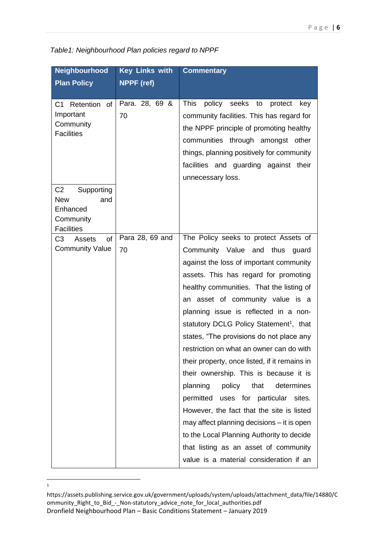| <b>Key Links with</b> | <b>Commentary</b>                                   |
|-----------------------|-----------------------------------------------------|
| NPPF (ref)            |                                                     |
|                       |                                                     |
|                       | <b>This</b><br>policy seeks<br>to<br>protect<br>key |
| 70                    | community facilities. This has regard for           |
|                       | the NPPF principle of promoting healthy             |
|                       | communities through amongst other                   |
|                       | things, planning positively for community           |
|                       | facilities and guarding against their               |
|                       | unnecessary loss.                                   |
|                       |                                                     |
|                       |                                                     |
|                       |                                                     |
|                       |                                                     |
| Para 28, 69 and       | The Policy seeks to protect Assets of               |
| 70                    | Community Value and thus guard                      |
|                       | against the loss of important community             |
|                       | assets. This has regard for promoting               |
|                       | healthy communities. That the listing of            |
|                       | an asset of community value is a                    |
|                       | planning issue is reflected in a non-               |
|                       | statutory DCLG Policy Statement <sup>1</sup> , that |
|                       | states, "The provisions do not place any            |
|                       | restriction on what an owner can do with            |
|                       | their property, once listed, if it remains in       |
|                       | their ownership. This is because it is              |
|                       | planning<br>policy<br>that<br>determines            |
|                       | permitted uses for particular sites.                |
|                       | However, the fact that the site is listed           |
|                       | may affect planning decisions - it is open          |
|                       | to the Local Planning Authority to decide           |
|                       | that listing as an asset of community               |
|                       | value is a material consideration if an             |
|                       | Para. 28, 69 &                                      |

*Table1: Neighbourhood Plan policies regard to NPPF*

 $\frac{1}{1}$ 

Dronfield Neighbourhood Plan – Basic Conditions Statement – January 2019 https://assets.publishing.service.gov.uk/government/uploads/system/uploads/attachment\_data/file/14880/C ommunity\_Right\_to\_Bid\_-\_Non-statutory\_advice\_note\_for\_local\_authorities.pdf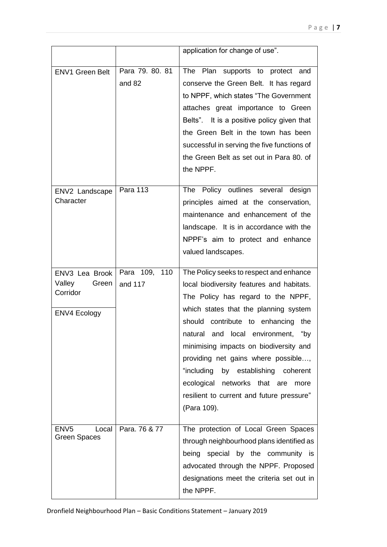|                                                                      |                           | application for change of use".                                                                                                                                                                                                                                                                                                                                                                                                                                                         |
|----------------------------------------------------------------------|---------------------------|-----------------------------------------------------------------------------------------------------------------------------------------------------------------------------------------------------------------------------------------------------------------------------------------------------------------------------------------------------------------------------------------------------------------------------------------------------------------------------------------|
| <b>ENV1 Green Belt</b>                                               | Para 79. 80. 81<br>and 82 | The Plan supports to protect and<br>conserve the Green Belt. It has regard<br>to NPPF, which states "The Government<br>attaches great importance to Green<br>Belts". It is a positive policy given that<br>the Green Belt in the town has been<br>successful in serving the five functions of<br>the Green Belt as set out in Para 80. of<br>the NPPF.                                                                                                                                  |
| ENV2 Landscape<br>Character                                          | <b>Para 113</b>           | The Policy outlines several design<br>principles aimed at the conservation,<br>maintenance and enhancement of the<br>landscape. It is in accordance with the<br>NPPF's aim to protect and enhance<br>valued landscapes.                                                                                                                                                                                                                                                                 |
| ENV3 Lea Brook<br>Valley<br>Green<br>Corridor<br><b>ENV4 Ecology</b> | Para 109, 110<br>and 117  | The Policy seeks to respect and enhance<br>local biodiversity features and habitats.<br>The Policy has regard to the NPPF,<br>which states that the planning system<br>should contribute to enhancing<br>the<br>natural and local environment,<br>"bv<br>minimising impacts on biodiversity and<br>providing net gains where possible,<br>"including<br>by establishing coherent<br>ecological<br>networks that are<br>more<br>resilient to current and future pressure"<br>(Para 109). |
| ENV <sub>5</sub><br>Local<br><b>Green Spaces</b>                     | Para. 76 & 77             | The protection of Local Green Spaces<br>through neighbourhood plans identified as<br>special by the community is<br>being<br>advocated through the NPPF. Proposed<br>designations meet the criteria set out in<br>the NPPF.                                                                                                                                                                                                                                                             |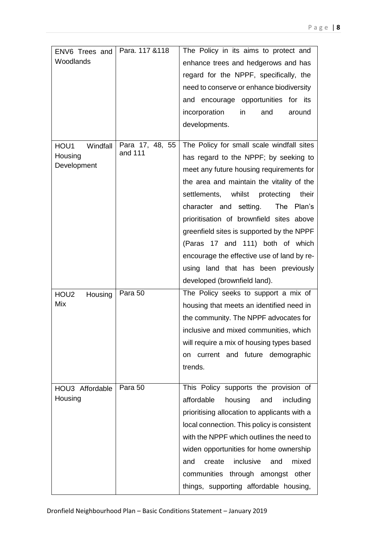| ENV6 Trees and              | Para. 117 & 118            | The Policy in its aims to protect and        |
|-----------------------------|----------------------------|----------------------------------------------|
| Woodlands                   |                            | enhance trees and hedgerows and has          |
|                             |                            | regard for the NPPF, specifically, the       |
|                             |                            | need to conserve or enhance biodiversity     |
|                             |                            | and encourage opportunities for its          |
|                             |                            | incorporation<br>and<br>in<br>around         |
|                             |                            | developments.                                |
|                             |                            |                                              |
| HOU1<br>Windfall            | Para 17, 48, 55<br>and 111 | The Policy for small scale windfall sites    |
| Housing<br>Development      |                            | has regard to the NPPF; by seeking to        |
|                             |                            | meet any future housing requirements for     |
|                             |                            | the area and maintain the vitality of the    |
|                             |                            | settlements, whilst<br>protecting<br>their   |
|                             |                            | character and setting.<br>The Plan's         |
|                             |                            | prioritisation of brownfield sites above     |
|                             |                            | greenfield sites is supported by the NPPF    |
|                             |                            | (Paras 17 and 111) both of which             |
|                             |                            | encourage the effective use of land by re-   |
|                             |                            | using land that has been previously          |
|                             |                            | developed (brownfield land).                 |
| HOU <sub>2</sub><br>Housing | Para 50                    | The Policy seeks to support a mix of         |
| Mix                         |                            | housing that meets an identified need in     |
|                             |                            | the community. The NPPF advocates for        |
|                             |                            | inclusive and mixed communities, which       |
|                             |                            | will require a mix of housing types based    |
|                             |                            | on current and future demographic            |
|                             |                            | trends.                                      |
|                             |                            |                                              |
| HOU3 Affordable             | Para 50                    | This Policy supports the provision of        |
| Housing                     |                            | affordable<br>housing<br>and<br>including    |
|                             |                            | prioritising allocation to applicants with a |
|                             |                            | local connection. This policy is consistent  |
|                             |                            | with the NPPF which outlines the need to     |
|                             |                            | widen opportunities for home ownership       |
|                             |                            | inclusive<br>mixed<br>create<br>and<br>and   |
|                             |                            | communities through amongst other            |
|                             |                            | things, supporting affordable housing,       |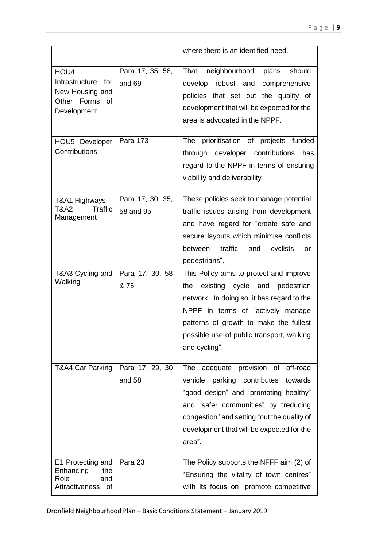|                                                                                |                               | where there is an identified need.                                                                                                                                                                                                                                         |
|--------------------------------------------------------------------------------|-------------------------------|----------------------------------------------------------------------------------------------------------------------------------------------------------------------------------------------------------------------------------------------------------------------------|
| HOU4<br>Infrastructure for<br>New Housing and<br>Other Forms of<br>Development | Para 17, 35, 58,<br>and 69    | neighbourhood<br>should<br>That<br>plans<br>develop robust and<br>comprehensive<br>policies that set out the quality of<br>development that will be expected for the<br>area is advocated in the NPPF.                                                                     |
| HOU5 Developer<br>Contributions                                                | Para 173                      | The prioritisation of projects funded<br>through developer contributions<br>has<br>regard to the NPPF in terms of ensuring<br>viability and deliverability                                                                                                                 |
| T&A1 Highways<br><b>Traffic</b><br><b>T&amp;A2</b><br>Management               | Para 17, 30, 35,<br>58 and 95 | These policies seek to manage potential<br>traffic issues arising from development<br>and have regard for "create safe and<br>secure layouts which minimise conflicts<br>between traffic<br>cyclists<br>and<br>or<br>pedestrians".                                         |
| T&A3 Cycling and<br>Walking                                                    | Para 17, 30, 58<br>& 75       | This Policy aims to protect and improve<br>existing cycle and pedestrian<br>the<br>network. In doing so, it has regard to the<br>NPPF in terms of "actively manage<br>patterns of growth to make the fullest<br>possible use of public transport, walking<br>and cycling". |
| T&A4 Car Parking                                                               | Para 17, 29, 30<br>and 58     | The adequate provision of<br>off-road<br>parking contributes<br>towards<br>vehicle<br>"good design" and "promoting healthy"<br>and "safer communities" by "reducing<br>congestion" and setting "out the quality of<br>development that will be expected for the<br>area".  |
| E1 Protecting and<br>Enhancing<br>the<br>Role<br>and<br>Attractiveness of      | Para 23                       | The Policy supports the NFFF aim (2) of<br>"Ensuring the vitality of town centres"<br>with its focus on "promote competitive                                                                                                                                               |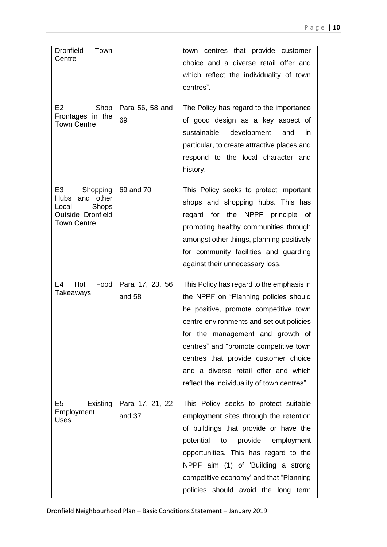| <b>Dronfield</b><br>Town<br>Centre<br>E <sub>2</sub><br>Shop<br>Frontages in the<br><b>Town Centre</b>                     | Para 56, 58 and<br>69     | town centres that provide customer<br>choice and a diverse retail offer and<br>which reflect the individuality of town<br>centres".<br>The Policy has regard to the importance<br>of good design as a key aspect of<br>sustainable development<br>and<br><i>in</i><br>particular, to create attractive places and<br>respond to the local character and                              |
|----------------------------------------------------------------------------------------------------------------------------|---------------------------|--------------------------------------------------------------------------------------------------------------------------------------------------------------------------------------------------------------------------------------------------------------------------------------------------------------------------------------------------------------------------------------|
| E <sub>3</sub><br>Shopping<br>and other<br>Hubs<br><b>Shops</b><br>Local<br><b>Outside Dronfield</b><br><b>Town Centre</b> | 69 and 70                 | history.<br>This Policy seeks to protect important<br>shops and shopping hubs. This has<br>regard for the NPPF principle of<br>promoting healthy communities through<br>amongst other things, planning positively<br>for community facilities and guarding<br>against their unnecessary loss.                                                                                        |
| E4<br>Hot<br>Food<br>Takeaways                                                                                             | Para 17, 23, 56<br>and 58 | This Policy has regard to the emphasis in<br>the NPPF on "Planning policies should<br>be positive, promote competitive town<br>centre environments and set out policies<br>for the management and growth of<br>centres" and "promote competitive town<br>centres that provide customer choice<br>and a diverse retail offer and which<br>reflect the individuality of town centres". |
| E <sub>5</sub><br>Existing<br>Employment<br><b>Uses</b>                                                                    | Para 17, 21, 22<br>and 37 | This Policy seeks to protect suitable<br>employment sites through the retention<br>of buildings that provide or have the<br>potential<br>provide<br>employment<br>to<br>opportunities. This has regard to the<br>NPPF aim (1) of 'Building a strong<br>competitive economy' and that "Planning<br>policies should avoid the long term                                                |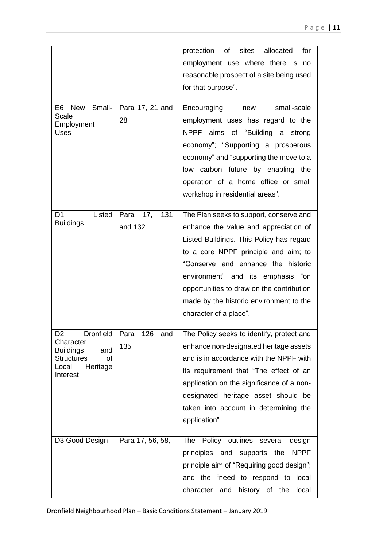|                                                 |                    | protection of sites<br>allocated<br>for     |
|-------------------------------------------------|--------------------|---------------------------------------------|
|                                                 |                    | employment use where there is no            |
|                                                 |                    | reasonable prospect of a site being used    |
|                                                 |                    | for that purpose".                          |
|                                                 |                    |                                             |
| Small-<br>E <sub>6</sub><br><b>New</b>          | Para 17, 21 and    | Encouraging<br>small-scale<br>new           |
| Scale<br>Employment                             | 28                 | employment uses has regard to the           |
| <b>Uses</b>                                     |                    | NPPF aims of "Building a strong             |
|                                                 |                    | economy"; "Supporting a prosperous          |
|                                                 |                    | economy" and "supporting the move to a      |
|                                                 |                    | low carbon future by enabling the           |
|                                                 |                    | operation of a home office or small         |
|                                                 |                    | workshop in residential areas".             |
|                                                 |                    |                                             |
| Listed<br>D <sub>1</sub>                        | 17,<br>131<br>Para | The Plan seeks to support, conserve and     |
| <b>Buildings</b>                                | and 132            | enhance the value and appreciation of       |
|                                                 |                    | Listed Buildings. This Policy has regard    |
|                                                 |                    | to a core NPPF principle and aim; to        |
|                                                 |                    | "Conserve and enhance the historic          |
|                                                 |                    | environment" and its emphasis "on           |
|                                                 |                    | opportunities to draw on the contribution   |
|                                                 |                    | made by the historic environment to the     |
|                                                 |                    | character of a place".                      |
|                                                 |                    |                                             |
| Dronfield   Para<br>D <sub>2</sub><br>Character | 126<br>and         | The Policy seeks to identify, protect and   |
| <b>Buildings</b><br>and                         | 135                | enhance non-designated heritage assets      |
| <b>Structures</b><br>οf                         |                    | and is in accordance with the NPPF with     |
| Local<br>Heritage<br>Interest                   |                    | its requirement that "The effect of an      |
|                                                 |                    | application on the significance of a non-   |
|                                                 |                    | designated heritage asset should be         |
|                                                 |                    | taken into account in determining the       |
|                                                 |                    | application".                               |
|                                                 |                    |                                             |
| D3 Good Design                                  | Para 17, 56, 58,   | The Policy outlines several design          |
|                                                 |                    | principles and supports the NPPF            |
|                                                 |                    | principle aim of "Requiring good design";   |
|                                                 |                    | and the "need to respond to local           |
|                                                 |                    | character<br>history of the<br>and<br>local |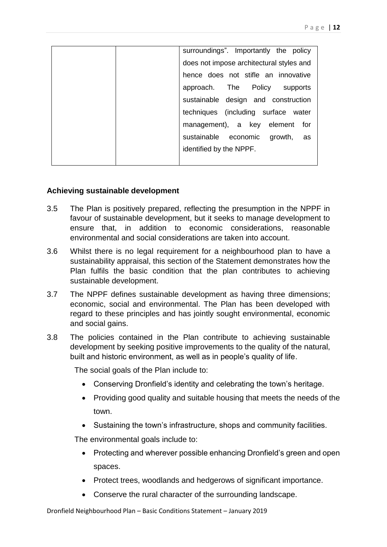| surroundings". Importantly the policy    |
|------------------------------------------|
| does not impose architectural styles and |
| hence does not stifle an innovative      |
| approach. The Policy supports            |
| sustainable design and construction      |
| techniques (including surface water      |
| management), a key element for           |
| sustainable economic growth, as          |
| identified by the NPPF.                  |
|                                          |

#### **Achieving sustainable development**

- 3.5 The Plan is positively prepared, reflecting the presumption in the NPPF in favour of sustainable development, but it seeks to manage development to ensure that, in addition to economic considerations, reasonable environmental and social considerations are taken into account.
- 3.6 Whilst there is no legal requirement for a neighbourhood plan to have a sustainability appraisal, this section of the Statement demonstrates how the Plan fulfils the basic condition that the plan contributes to achieving sustainable development.
- 3.7 The NPPF defines sustainable development as having three dimensions; economic, social and environmental. The Plan has been developed with regard to these principles and has jointly sought environmental, economic and social gains.
- 3.8 The policies contained in the Plan contribute to achieving sustainable development by seeking positive improvements to the quality of the natural, built and historic environment, as well as in people's quality of life.

The social goals of the Plan include to:

- Conserving Dronfield's identity and celebrating the town's heritage.
- Providing good quality and suitable housing that meets the needs of the town.
- Sustaining the town's infrastructure, shops and community facilities.

The environmental goals include to:

- Protecting and wherever possible enhancing Dronfield's green and open spaces.
- Protect trees, woodlands and hedgerows of significant importance.
- Conserve the rural character of the surrounding landscape.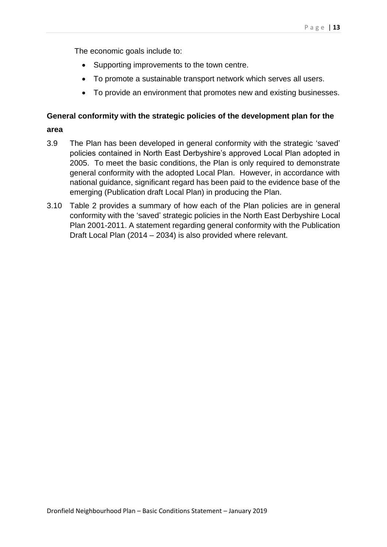The economic goals include to:

- Supporting improvements to the town centre.
- To promote a sustainable transport network which serves all users.
- To provide an environment that promotes new and existing businesses.

#### **General conformity with the strategic policies of the development plan for the**

#### **area**

- 3.9 The Plan has been developed in general conformity with the strategic 'saved' policies contained in North East Derbyshire's approved Local Plan adopted in 2005. To meet the basic conditions, the Plan is only required to demonstrate general conformity with the adopted Local Plan. However, in accordance with national guidance, significant regard has been paid to the evidence base of the emerging (Publication draft Local Plan) in producing the Plan.
- 3.10 Table 2 provides a summary of how each of the Plan policies are in general conformity with the 'saved' strategic policies in the North East Derbyshire Local Plan 2001-2011. A statement regarding general conformity with the Publication Draft Local Plan (2014 – 2034) is also provided where relevant.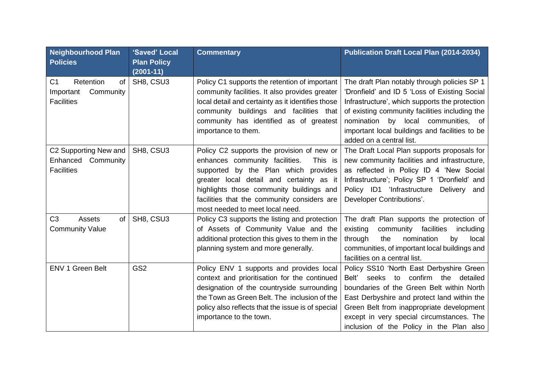| <b>Neighbourhood Plan</b><br><b>Policies</b>                                     | 'Saved' Local<br><b>Plan Policy</b><br>$(2001 - 11)$ | <b>Commentary</b>                                                                                                                                                                                                                                                                                         | <b>Publication Draft Local Plan (2014-2034)</b>                                                                                                                                                                                                                                                                            |
|----------------------------------------------------------------------------------|------------------------------------------------------|-----------------------------------------------------------------------------------------------------------------------------------------------------------------------------------------------------------------------------------------------------------------------------------------------------------|----------------------------------------------------------------------------------------------------------------------------------------------------------------------------------------------------------------------------------------------------------------------------------------------------------------------------|
| Retention<br>C <sub>1</sub><br>of<br>Community<br>Important<br><b>Facilities</b> | SH8, CSU3                                            | Policy C1 supports the retention of important<br>community facilities. It also provides greater<br>local detail and certainty as it identifies those<br>community buildings and facilities that<br>community has identified as of greatest<br>importance to them.                                         | The draft Plan notably through policies SP 1<br>'Dronfield' and ID 5 'Loss of Existing Social<br>Infrastructure', which supports the protection<br>of existing community facilities including the<br>nomination by local communities, of<br>important local buildings and facilities to be<br>added on a central list.     |
| C2 Supporting New and<br>Enhanced<br>Community<br><b>Facilities</b>              | SH8, CSU3                                            | Policy C2 supports the provision of new or<br>enhances community facilities.<br>This is<br>supported by the Plan which provides<br>greater local detail and certainty as it<br>highlights those community buildings and<br>facilities that the community considers are<br>most needed to meet local need. | The Draft Local Plan supports proposals for<br>new community facilities and infrastructure,<br>as reflected in Policy ID 4 'New Social<br>Infrastructure'; Policy SP 1 'Dronfield' and<br>Policy ID1 'Infrastructure Delivery and<br>Developer Contributions'.                                                             |
| C <sub>3</sub><br>Assets<br>of<br><b>Community Value</b>                         | SH8, CSU3                                            | Policy C3 supports the listing and protection<br>of Assets of Community Value and the<br>additional protection this gives to them in the<br>planning system and more generally.                                                                                                                           | The draft Plan supports the protection of<br>existing<br>community facilities<br>including<br>nomination<br>through<br>the<br>by<br>local<br>communities, of important local buildings and<br>facilities on a central list.                                                                                                |
| ENV 1 Green Belt                                                                 | GS <sub>2</sub>                                      | Policy ENV 1 supports and provides local<br>context and prioritisation for the continued<br>designation of the countryside surrounding<br>the Town as Green Belt. The inclusion of the<br>policy also reflects that the issue is of special<br>importance to the town.                                    | Policy SS10 'North East Derbyshire Green<br>Belt'<br>confirm the<br>seeks to<br>detailed<br>boundaries of the Green Belt within North<br>East Derbyshire and protect land within the<br>Green Belt from inappropriate development<br>except in very special circumstances. The<br>inclusion of the Policy in the Plan also |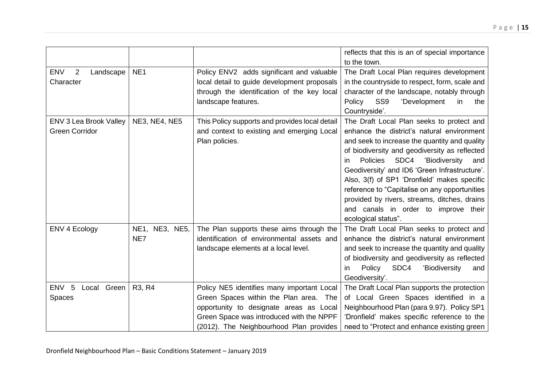|                                                        |                       |                                                                                                                                                                                                                        | reflects that this is an of special importance<br>to the town.                                                                                                                                                                                                                                                                                                                                                                                                                                                      |
|--------------------------------------------------------|-----------------------|------------------------------------------------------------------------------------------------------------------------------------------------------------------------------------------------------------------------|---------------------------------------------------------------------------------------------------------------------------------------------------------------------------------------------------------------------------------------------------------------------------------------------------------------------------------------------------------------------------------------------------------------------------------------------------------------------------------------------------------------------|
| <b>ENV</b><br>$\overline{2}$<br>Landscape<br>Character | NE <sub>1</sub>       | Policy ENV2 adds significant and valuable<br>local detail to guide development proposals<br>through the identification of the key local<br>landscape features.                                                         | The Draft Local Plan requires development<br>in the countryside to respect, form, scale and<br>character of the landscape, notably through<br>SS <sub>9</sub><br>'Development<br>Policy<br>in.<br>the<br>Countryside'.                                                                                                                                                                                                                                                                                              |
| ENV 3 Lea Brook Valley<br><b>Green Corridor</b>        | <b>NE3, NE4, NE5</b>  | This Policy supports and provides local detail<br>and context to existing and emerging Local<br>Plan policies.                                                                                                         | The Draft Local Plan seeks to protect and<br>enhance the district's natural environment<br>and seek to increase the quantity and quality<br>of biodiversity and geodiversity as reflected<br>SDC4<br>Policies<br>'Biodiversity<br>and<br><i>in</i><br>Geodiversity' and ID6 'Green Infrastructure'.<br>Also, 3(f) of SP1 'Dronfield' makes specific<br>reference to "Capitalise on any opportunities<br>provided by rivers, streams, ditches, drains<br>and canals in order to improve their<br>ecological status". |
| ENV 4 Ecology                                          | NE1, NE3, NE5,<br>NE7 | The Plan supports these aims through the<br>identification of environmental assets and<br>landscape elements at a local level.                                                                                         | The Draft Local Plan seeks to protect and<br>enhance the district's natural environment<br>and seek to increase the quantity and quality<br>of biodiversity and geodiversity as reflected<br>SDC4<br>Policy<br>'Biodiversity<br>and<br><i>in</i><br>Geodiversity'.                                                                                                                                                                                                                                                  |
| ENV <sub>5</sub><br>Local Green<br>Spaces              | R3, R4                | Policy NE5 identifies many important Local<br>Green Spaces within the Plan area. The<br>opportunity to designate areas as Local<br>Green Space was introduced with the NPPF<br>(2012). The Neighbourhood Plan provides | The Draft Local Plan supports the protection<br>of Local Green Spaces identified in a<br>Neighbourhood Plan (para 9.97). Policy SP1<br>'Dronfield' makes specific reference to the<br>need to "Protect and enhance existing green                                                                                                                                                                                                                                                                                   |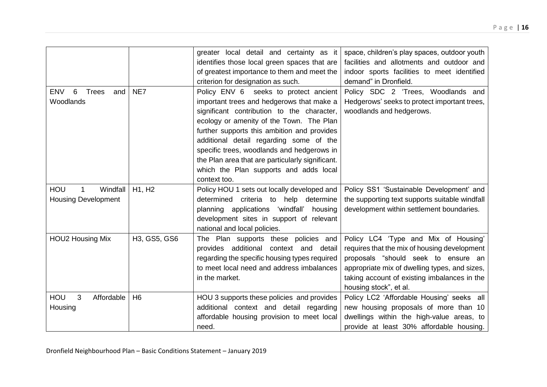|                                                              |                | greater local detail and certainty as it<br>identifies those local green spaces that are<br>of greatest importance to them and meet the<br>criterion for designation as such.                                                                                                                                                                                                                                                      | space, children's play spaces, outdoor youth<br>facilities and allotments and outdoor and<br>indoor sports facilities to meet identified<br>demand" in Dronfield.                                                                                      |
|--------------------------------------------------------------|----------------|------------------------------------------------------------------------------------------------------------------------------------------------------------------------------------------------------------------------------------------------------------------------------------------------------------------------------------------------------------------------------------------------------------------------------------|--------------------------------------------------------------------------------------------------------------------------------------------------------------------------------------------------------------------------------------------------------|
| 6<br><b>ENV</b><br><b>Trees</b><br>and<br>Woodlands          | NE7            | Policy ENV 6 seeks to protect ancient<br>important trees and hedgerows that make a<br>significant contribution to the character,<br>ecology or amenity of the Town. The Plan<br>further supports this ambition and provides<br>additional detail regarding some of the<br>specific trees, woodlands and hedgerows in<br>the Plan area that are particularly significant.<br>which the Plan supports and adds local<br>context too. | Policy SDC 2 'Trees, Woodlands and<br>Hedgerows' seeks to protect important trees,<br>woodlands and hedgerows.                                                                                                                                         |
| Windfall<br>HOU<br>$\mathbf 1$<br><b>Housing Development</b> | H1, H2         | Policy HOU 1 sets out locally developed and<br>determined criteria to help determine<br>planning applications 'windfall' housing<br>development sites in support of relevant<br>national and local policies.                                                                                                                                                                                                                       | Policy SS1 'Sustainable Development' and<br>the supporting text supports suitable windfall<br>development within settlement boundaries.                                                                                                                |
| <b>HOU2 Housing Mix</b>                                      | H3, GS5, GS6   | The Plan supports these policies and<br>provides additional context and<br>detail<br>regarding the specific housing types required<br>to meet local need and address imbalances<br>in the market.                                                                                                                                                                                                                                  | Policy LC4 'Type and Mix of Housing'<br>requires that the mix of housing development<br>proposals "should seek to ensure an<br>appropriate mix of dwelling types, and sizes,<br>taking account of existing imbalances in the<br>housing stock", et al. |
| HOU<br>3<br>Affordable<br>Housing                            | H <sub>6</sub> | HOU 3 supports these policies and provides<br>additional context and detail regarding<br>affordable housing provision to meet local<br>need.                                                                                                                                                                                                                                                                                       | Policy LC2 'Affordable Housing' seeks all<br>new housing proposals of more than 10<br>dwellings within the high-value areas, to<br>provide at least 30% affordable housing.                                                                            |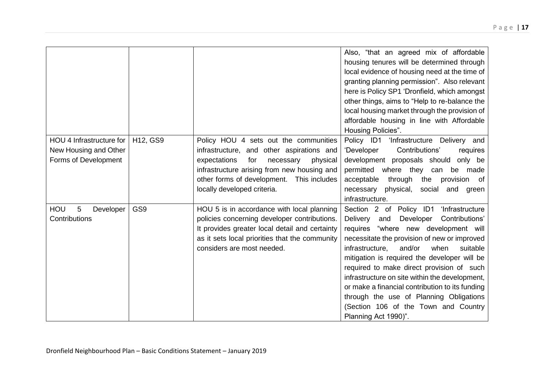|                          |          |                                                | Also, "that an agreed mix of affordable               |
|--------------------------|----------|------------------------------------------------|-------------------------------------------------------|
|                          |          |                                                | housing tenures will be determined through            |
|                          |          |                                                | local evidence of housing need at the time of         |
|                          |          |                                                | granting planning permission". Also relevant          |
|                          |          |                                                | here is Policy SP1 'Dronfield, which amongst          |
|                          |          |                                                | other things, aims to "Help to re-balance the         |
|                          |          |                                                | local housing market through the provision of         |
|                          |          |                                                | affordable housing in line with Affordable            |
|                          |          |                                                | Housing Policies".                                    |
| HOU 4 Infrastructure for | H12, GS9 | Policy HOU 4 sets out the communities          | Policy ID1<br>'Infrastructure Delivery and            |
| New Housing and Other    |          | infrastructure, and other aspirations and      | Contributions'<br>'Developer<br>requires              |
| Forms of Development     |          | expectations<br>for<br>physical<br>necessary   | development proposals should<br>only be               |
|                          |          | infrastructure arising from new housing and    | permitted where they can<br>be made                   |
|                          |          | other forms of development.<br>This includes   | acceptable<br>through<br>the provision<br>of          |
|                          |          | locally developed criteria.                    | physical,<br>social and green<br>necessary            |
|                          |          |                                                | infrastructure.                                       |
| HOU<br>5<br>Developer    | GS9      | HOU 5 is in accordance with local planning     | Section 2 of Policy ID1<br>'Infrastructure            |
| Contributions            |          | policies concerning developer contributions.   | Developer<br>Contributions'<br><b>Delivery</b><br>and |
|                          |          | It provides greater local detail and certainty | "where new development will<br>requires               |
|                          |          | as it sets local priorities that the community | necessitate the provision of new or improved          |
|                          |          | considers are most needed.                     | and/or<br>when<br>suitable<br>infrastructure.         |
|                          |          |                                                | mitigation is required the developer will be          |
|                          |          |                                                | required to make direct provision of such             |
|                          |          |                                                | infrastructure on site within the development,        |
|                          |          |                                                | or make a financial contribution to its funding       |
|                          |          |                                                | through the use of Planning Obligations               |
|                          |          |                                                | (Section 106 of the Town and Country                  |
|                          |          |                                                | Planning Act 1990)".                                  |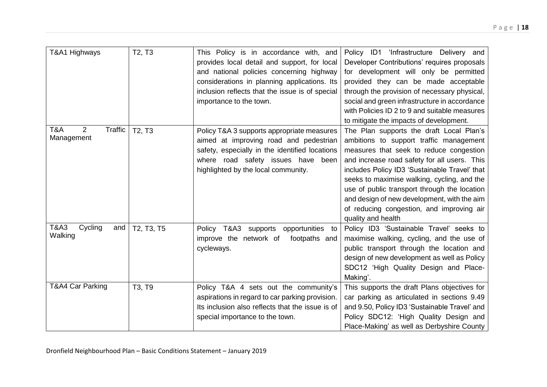|                                   | T2, T3     |                                                  | Policy ID1                                    |
|-----------------------------------|------------|--------------------------------------------------|-----------------------------------------------|
| T&A1 Highways                     |            | This Policy is in accordance with, and           | 'Infrastructure Delivery and                  |
|                                   |            | provides local detail and support, for local     | Developer Contributions' requires proposals   |
|                                   |            | and national policies concerning highway         | for development will only be permitted        |
|                                   |            | considerations in planning applications. Its     | provided they can be made acceptable          |
|                                   |            | inclusion reflects that the issue is of special  | through the provision of necessary physical,  |
|                                   |            | importance to the town.                          | social and green infrastructure in accordance |
|                                   |            |                                                  | with Policies ID 2 to 9 and suitable measures |
|                                   |            |                                                  | to mitigate the impacts of development.       |
| 2<br><b>Traffic</b><br>T&A        | T2, T3     | Policy T&A 3 supports appropriate measures       | The Plan supports the draft Local Plan's      |
| Management                        |            | aimed at improving road and pedestrian           | ambitions to support traffic management       |
|                                   |            | safety, especially in the identified locations   | measures that seek to reduce congestion       |
|                                   |            | where road safety issues have been               | and increase road safety for all users. This  |
|                                   |            | highlighted by the local community.              | includes Policy ID3 'Sustainable Travel' that |
|                                   |            |                                                  | seeks to maximise walking, cycling, and the   |
|                                   |            |                                                  | use of public transport through the location  |
|                                   |            |                                                  | and design of new development, with the aim   |
|                                   |            |                                                  | of reducing congestion, and improving air     |
|                                   |            |                                                  | quality and health                            |
| <b>T&amp;A3</b><br>Cycling<br>and | T2, T3, T5 | opportunities to<br>Policy T&A3<br>supports      | Policy ID3 'Sustainable Travel' seeks to      |
| Walking                           |            | improve the network of<br>footpaths and          | maximise walking, cycling, and the use of     |
|                                   |            | cycleways.                                       | public transport through the location and     |
|                                   |            |                                                  | design of new development as well as Policy   |
|                                   |            |                                                  | SDC12 'High Quality Design and Place-         |
|                                   |            |                                                  | Making'.                                      |
| T&A4 Car Parking                  | T3, T9     | Policy T&A 4 sets out the community's            | This supports the draft Plans objectives for  |
|                                   |            | aspirations in regard to car parking provision.  | car parking as articulated in sections 9.49   |
|                                   |            | Its inclusion also reflects that the issue is of |                                               |
|                                   |            |                                                  | and 9.50, Policy ID3 'Sustainable Travel' and |
|                                   |            | special importance to the town.                  | Policy SDC12: 'High Quality Design and        |
|                                   |            |                                                  | Place-Making' as well as Derbyshire County    |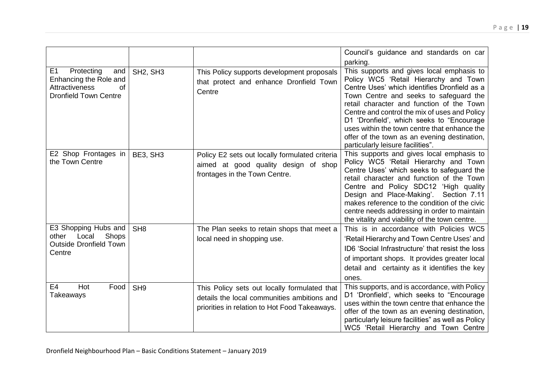|                                                                                                                       |                                   |                                                                                                                                              | Council's guidance and standards on car<br>parking.                                                                                                                                                                                                                                                                                                                                                                                                          |
|-----------------------------------------------------------------------------------------------------------------------|-----------------------------------|----------------------------------------------------------------------------------------------------------------------------------------------|--------------------------------------------------------------------------------------------------------------------------------------------------------------------------------------------------------------------------------------------------------------------------------------------------------------------------------------------------------------------------------------------------------------------------------------------------------------|
| E <sub>1</sub><br>Protecting<br>and<br>Enhancing the Role and<br>Attractiveness<br>of<br><b>Dronfield Town Centre</b> | SH <sub>2</sub> , SH <sub>3</sub> | This Policy supports development proposals<br>that protect and enhance Dronfield Town<br>Centre                                              | This supports and gives local emphasis to<br>Policy WC5 'Retail Hierarchy and Town<br>Centre Uses' which identifies Dronfield as a<br>Town Centre and seeks to safeguard the<br>retail character and function of the Town<br>Centre and control the mix of uses and Policy<br>D1 'Dronfield', which seeks to "Encourage<br>uses within the town centre that enhance the<br>offer of the town as an evening destination,<br>particularly leisure facilities". |
| E2 Shop Frontages in<br>the Town Centre                                                                               | BE3, SH3                          | Policy E2 sets out locally formulated criteria<br>aimed at good quality design of shop<br>frontages in the Town Centre.                      | This supports and gives local emphasis to<br>Policy WC5 'Retail Hierarchy and Town<br>Centre Uses' which seeks to safeguard the<br>retail character and function of the Town<br>Centre and Policy SDC12 'High quality<br>Design and Place-Making'.<br>Section 7.11<br>makes reference to the condition of the civic<br>centre needs addressing in order to maintain<br>the vitality and viability of the town centre.                                        |
| E3 Shopping Hubs and<br>Shops<br>Local<br>other<br><b>Outside Dronfield Town</b><br>Centre                            | SH <sub>8</sub>                   | The Plan seeks to retain shops that meet a<br>local need in shopping use.                                                                    | This is in accordance with Policies WC5<br>'Retail Hierarchy and Town Centre Uses' and<br>ID6 'Social Infrastructure' that resist the loss<br>of important shops. It provides greater local<br>detail and certainty as it identifies the key<br>ones.                                                                                                                                                                                                        |
| E4<br>Hot<br>Food<br>Takeaways                                                                                        | SH <sub>9</sub>                   | This Policy sets out locally formulated that<br>details the local communities ambitions and<br>priorities in relation to Hot Food Takeaways. | This supports, and is accordance, with Policy<br>D1 'Dronfield', which seeks to "Encourage<br>uses within the town centre that enhance the<br>offer of the town as an evening destination,<br>particularly leisure facilities" as well as Policy<br>WC5 'Retail Hierarchy and Town Centre                                                                                                                                                                    |

Dronfield Neighbourhood Plan – Basic Conditions Statement – January 2019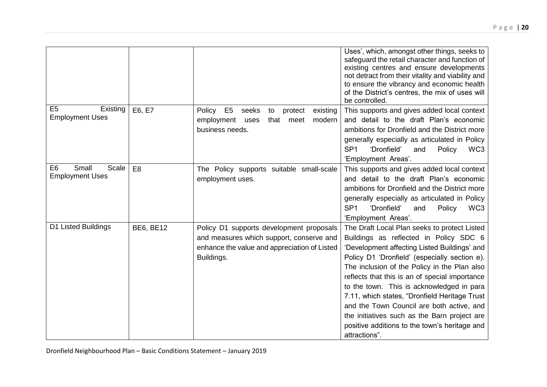|                                                            |                  |                                                                                                                                                    | Uses', which, amongst other things, seeks to<br>safeguard the retail character and function of<br>existing centres and ensure developments<br>not detract from their vitality and viability and<br>to ensure the vibrancy and economic health<br>of the District's centres, the mix of uses will<br>be controlled.                                                                                                                                                                                                                                     |
|------------------------------------------------------------|------------------|----------------------------------------------------------------------------------------------------------------------------------------------------|--------------------------------------------------------------------------------------------------------------------------------------------------------------------------------------------------------------------------------------------------------------------------------------------------------------------------------------------------------------------------------------------------------------------------------------------------------------------------------------------------------------------------------------------------------|
| E <sub>5</sub><br>Existing<br><b>Employment Uses</b>       | E6, E7           | Policy<br>E <sub>5</sub><br>seeks<br>protect<br>existing<br>to<br>modern<br>employment<br>that<br>meet<br>uses<br>business needs.                  | This supports and gives added local context<br>and detail to the draft Plan's economic<br>ambitions for Dronfield and the District more<br>generally especially as articulated in Policy<br>SP <sub>1</sub><br>'Dronfield'<br>WC3<br>Policy<br>and<br>'Employment Areas'.                                                                                                                                                                                                                                                                              |
| E <sub>6</sub><br>Small<br>Scale<br><b>Employment Uses</b> | E <sub>8</sub>   | The Policy supports suitable small-scale<br>employment uses.                                                                                       | This supports and gives added local context<br>and detail to the draft Plan's economic<br>ambitions for Dronfield and the District more<br>generally especially as articulated in Policy<br>SP <sub>1</sub><br>'Dronfield'<br>Policy<br>WC <sub>3</sub><br>and<br>'Employment Areas'.                                                                                                                                                                                                                                                                  |
| D1 Listed Buildings                                        | <b>BE6, BE12</b> | Policy D1 supports development proposals<br>and measures which support, conserve and<br>enhance the value and appreciation of Listed<br>Buildings. | The Draft Local Plan seeks to protect Listed<br>Buildings as reflected in Policy SDC 6<br>'Development affecting Listed Buildings' and<br>Policy D1 'Dronfield' (especially section e).<br>The inclusion of the Policy in the Plan also<br>reflects that this is an of special importance<br>to the town. This is acknowledged in para<br>7.11, which states, "Dronfield Heritage Trust<br>and the Town Council are both active, and<br>the initiatives such as the Barn project are<br>positive additions to the town's heritage and<br>attractions". |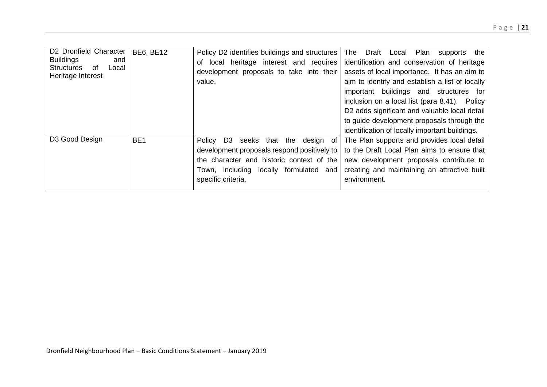| D2 Dronfield Character<br><b>Buildings</b><br>and<br><b>Structures</b><br>οf<br>Local<br>Heritage Interest | <b>BE6, BE12</b> | Policy D2 identifies buildings and structures<br>local heritage interest and requires<br>of<br>development proposals to take into their<br>value.                                                                   | The Draft<br>Plan<br>the<br>Local<br>supports<br>identification and conservation of heritage<br>assets of local importance. It has an aim to<br>aim to identify and establish a list of locally<br>important buildings and structures for<br>inclusion on a local list (para 8.41). Policy<br>D2 adds significant and valuable local detail<br>to guide development proposals through the<br>identification of locally important buildings. |
|------------------------------------------------------------------------------------------------------------|------------------|---------------------------------------------------------------------------------------------------------------------------------------------------------------------------------------------------------------------|---------------------------------------------------------------------------------------------------------------------------------------------------------------------------------------------------------------------------------------------------------------------------------------------------------------------------------------------------------------------------------------------------------------------------------------------|
| D <sub>3</sub> Good Design                                                                                 | BE <sub>1</sub>  | Policy D <sub>3</sub><br>seeks that the design of<br>development proposals respond positively to<br>the character and historic context of the<br>locally formulated<br>Town, including<br>and<br>specific criteria. | The Plan supports and provides local detail<br>to the Draft Local Plan aims to ensure that<br>new development proposals contribute to<br>creating and maintaining an attractive built<br>environment.                                                                                                                                                                                                                                       |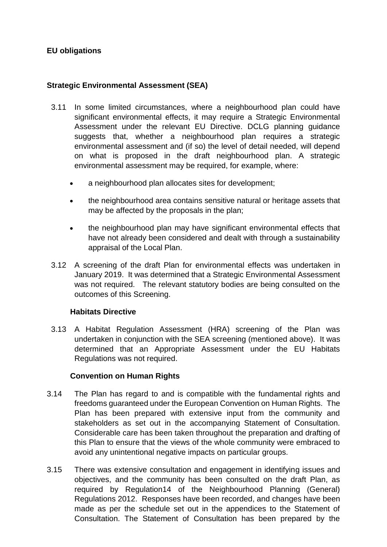# **EU obligations**

# **Strategic Environmental Assessment (SEA)**

- 3.11 In some limited circumstances, where a neighbourhood plan could have significant environmental effects, it may require a Strategic Environmental Assessment under the relevant EU Directive. DCLG planning guidance suggests that, whether a neighbourhood plan requires a strategic environmental assessment and (if so) the level of detail needed, will depend on what is proposed in the draft neighbourhood plan. A strategic environmental assessment may be required, for example, where:
	- a neighbourhood plan allocates sites for development;
	- the neighbourhood area contains sensitive natural or heritage assets that may be affected by the proposals in the plan;
	- the neighbourhood plan may have significant environmental effects that have not already been considered and dealt with through a sustainability appraisal of the Local Plan.
- 3.12 A screening of the draft Plan for environmental effects was undertaken in January 2019. It was determined that a Strategic Environmental Assessment was not required. The relevant statutory bodies are being consulted on the outcomes of this Screening.

#### **Habitats Directive**

3.13 A Habitat Regulation Assessment (HRA) screening of the Plan was undertaken in conjunction with the SEA screening (mentioned above). It was determined that an Appropriate Assessment under the EU Habitats Regulations was not required.

#### **Convention on Human Rights**

- 3.14 The Plan has regard to and is compatible with the fundamental rights and freedoms guaranteed under the European Convention on Human Rights. The Plan has been prepared with extensive input from the community and stakeholders as set out in the accompanying Statement of Consultation. Considerable care has been taken throughout the preparation and drafting of this Plan to ensure that the views of the whole community were embraced to avoid any unintentional negative impacts on particular groups.
- 3.15 There was extensive consultation and engagement in identifying issues and objectives, and the community has been consulted on the draft Plan, as required by Regulation14 of the Neighbourhood Planning (General) Regulations 2012. Responses have been recorded, and changes have been made as per the schedule set out in the appendices to the Statement of Consultation. The Statement of Consultation has been prepared by the